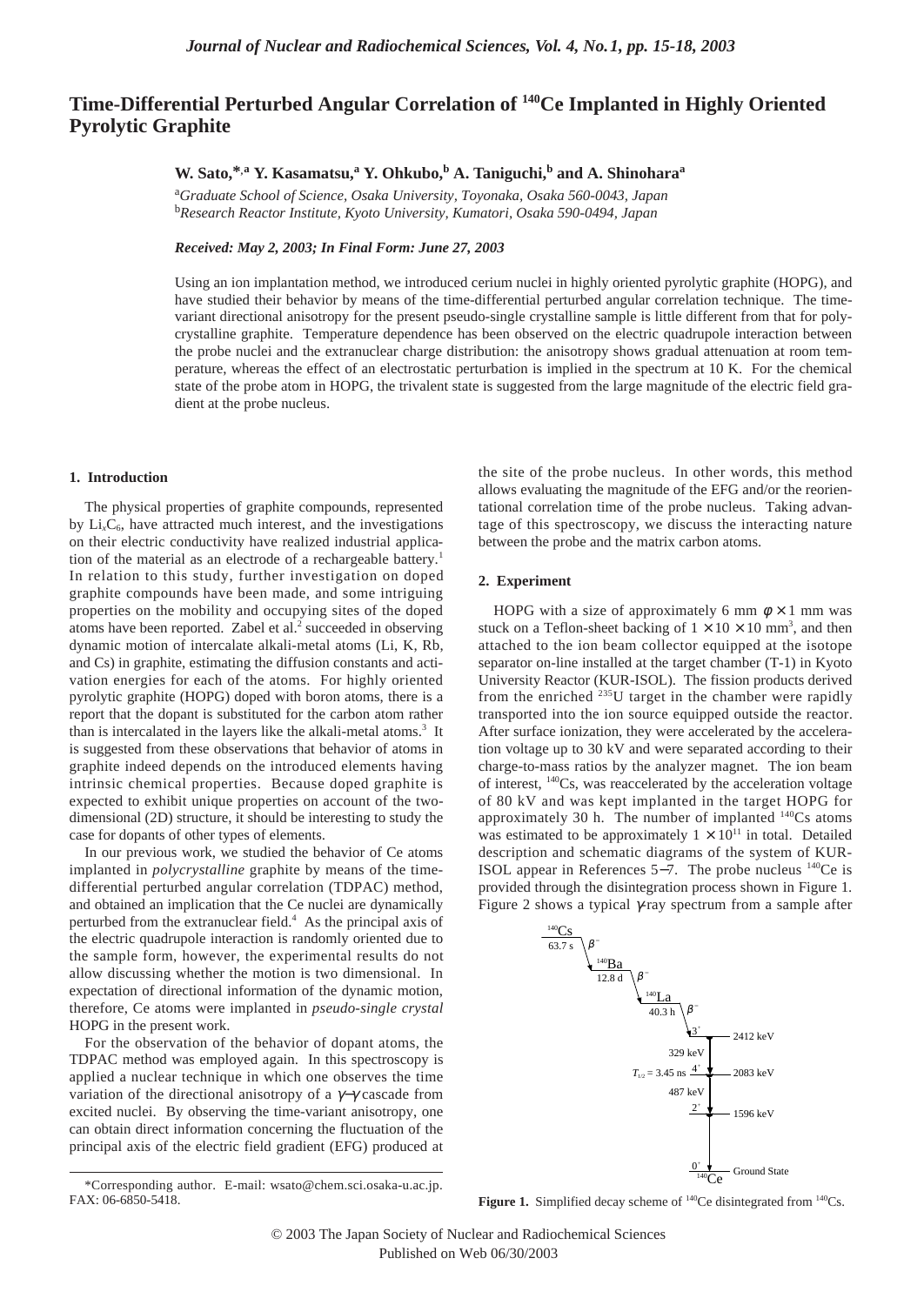# **Time-Differential Perturbed Angular Correlation of 140Ce Implanted in Highly Oriented Pyrolytic Graphite**

## **W.** Sato,\*,a<sup></sup> **Y.** Kasamatsu,<sup>a</sup> **Y.** Ohkubo,<sup>b</sup> A. Taniguchi,<sup>b</sup> and A. Shinohara<sup>a</sup>

a *Graduate School of Science, Osaka University, Toyonaka, Osaka 560-0043, Japan* b *Research Reactor Institute, Kyoto University, Kumatori, Osaka 590-0494, Japan*

*Received: May 2, 2003; In Final Form: June 27, 2003*

Using an ion implantation method, we introduced cerium nuclei in highly oriented pyrolytic graphite (HOPG), and have studied their behavior by means of the time-differential perturbed angular correlation technique. The timevariant directional anisotropy for the present pseudo-single crystalline sample is little different from that for polycrystalline graphite. Temperature dependence has been observed on the electric quadrupole interaction between the probe nuclei and the extranuclear charge distribution: the anisotropy shows gradual attenuation at room temperature, whereas the effect of an electrostatic perturbation is implied in the spectrum at 10 K. For the chemical state of the probe atom in HOPG, the trivalent state is suggested from the large magnitude of the electric field gradient at the probe nucleus.

#### **1. Introduction**

The physical properties of graphite compounds, represented by  $Li<sub>x</sub>C<sub>6</sub>$ , have attracted much interest, and the investigations on their electric conductivity have realized industrial application of the material as an electrode of a rechargeable battery.<sup>1</sup> In relation to this study, further investigation on doped graphite compounds have been made, and some intriguing properties on the mobility and occupying sites of the doped atoms have been reported. Zabel et al.<sup>2</sup> succeeded in observing dynamic motion of intercalate alkali-metal atoms (Li, K, Rb, and Cs) in graphite, estimating the diffusion constants and activation energies for each of the atoms. For highly oriented pyrolytic graphite (HOPG) doped with boron atoms, there is a report that the dopant is substituted for the carbon atom rather than is intercalated in the layers like the alkali-metal atoms. $3$  It is suggested from these observations that behavior of atoms in graphite indeed depends on the introduced elements having intrinsic chemical properties. Because doped graphite is expected to exhibit unique properties on account of the twodimensional (2D) structure, it should be interesting to study the case for dopants of other types of elements.

In our previous work, we studied the behavior of Ce atoms implanted in *polycrystalline* graphite by means of the timedifferential perturbed angular correlation (TDPAC) method, and obtained an implication that the Ce nuclei are dynamically perturbed from the extranuclear field.4 As the principal axis of the electric quadrupole interaction is randomly oriented due to the sample form, however, the experimental results do not allow discussing whether the motion is two dimensional. In expectation of directional information of the dynamic motion, therefore, Ce atoms were implanted in *pseudo-single crystal* HOPG in the present work.

For the observation of the behavior of dopant atoms, the TDPAC method was employed again. In this spectroscopy is applied a nuclear technique in which one observes the time variation of the directional anisotropy of a γ−γ cascade from excited nuclei. By observing the time-variant anisotropy, one can obtain direct information concerning the fluctuation of the principal axis of the electric field gradient (EFG) produced at

the site of the probe nucleus. In other words, this method allows evaluating the magnitude of the EFG and/or the reorientational correlation time of the probe nucleus. Taking advantage of this spectroscopy, we discuss the interacting nature between the probe and the matrix carbon atoms.

#### **2. Experiment**

HOPG with a size of approximately 6 mm  $\phi \times 1$  mm was stuck on a Teflon-sheet backing of  $1 \times 10 \times 10$  mm<sup>3</sup>, and then attached to the ion beam collector equipped at the isotope separator on-line installed at the target chamber (T-1) in Kyoto University Reactor (KUR-ISOL). The fission products derived from the enriched  $^{235}$ U target in the chamber were rapidly transported into the ion source equipped outside the reactor. After surface ionization, they were accelerated by the acceleration voltage up to 30 kV and were separated according to their charge-to-mass ratios by the analyzer magnet. The ion beam of interest, 140Cs, was reaccelerated by the acceleration voltage of 80 kV and was kept implanted in the target HOPG for approximately 30 h. The number of implanted <sup>140</sup>Cs atoms was estimated to be approximately  $1 \times 10^{11}$  in total. Detailed description and schematic diagrams of the system of KUR-ISOL appear in References 5−7. The probe nucleus 140Ce is provided through the disintegration process shown in Figure 1. Figure 2 shows a typical  $\gamma$ -ray spectrum from a sample after



**Figure 1.** Simplified decay scheme of <sup>140</sup>Ce disintegrated from <sup>140</sup>Cs.

<sup>\*</sup>Corresponding author. E-mail: wsato@chem.sci.osaka-u.ac.jp. FAX: 06-6850-5418.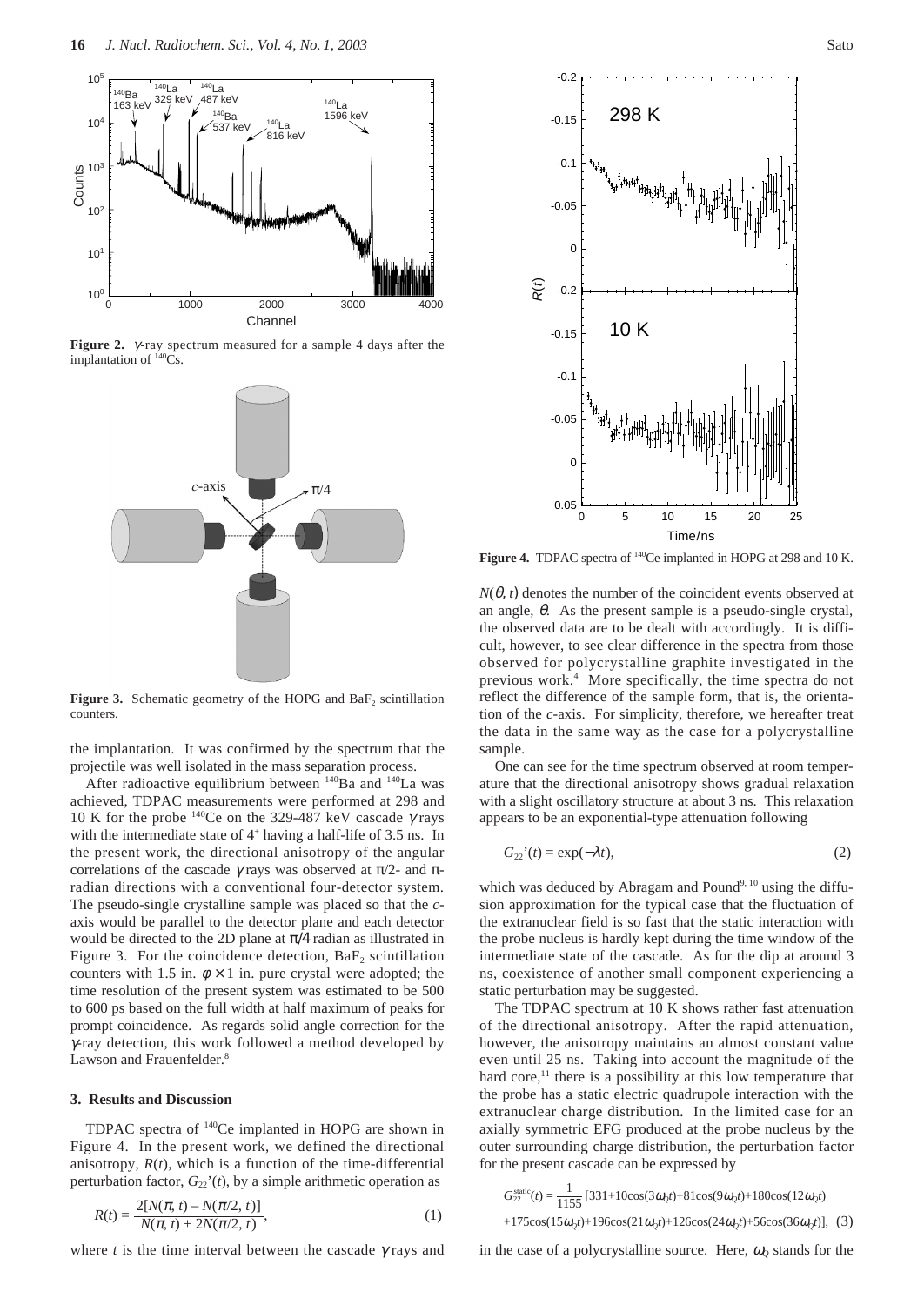

**Figure 2.** γ -ray spectrum measured for a sample 4 days after the implantation of  ${}^{140}\mathrm{Cs}$ .



**Figure 3.** Schematic geometry of the HOPG and  $BaF_2$  scintillation counters.

the implantation. It was confirmed by the spectrum that the projectile was well isolated in the mass separation process.

After radioactive equilibrium between  $140$ Ba and  $140$ La was achieved, TDPAC measurements were performed at 298 and 10 K for the probe  $140$ Ce on the 329-487 keV cascade  $\gamma$  rays with the intermediate state of  $4^+$  having a half-life of 3.5 ns. In the present work, the directional anisotropy of the angular correlations of the cascade  $\gamma$  rays was observed at  $\pi/2$ - and  $\pi$ radian directions with a conventional four-detector system. The pseudo-single crystalline sample was placed so that the *c*axis would be parallel to the detector plane and each detector would be directed to the 2D plane at  $\pi/4$  radian as illustrated in Figure 3. For the coincidence detection,  $BaF_2$  scintillation counters with 1.5 in.  $\phi \times 1$  in. pure crystal were adopted; the time resolution of the present system was estimated to be 500 to 600 ps based on the full width at half maximum of peaks for prompt coincidence. As regards solid angle correction for the γ-ray detection, this work followed a method developed by Lawson and Frauenfelder.<sup>8</sup>

### **3. Results and Discussion**

TDPAC spectra of 140Ce implanted in HOPG are shown in Figure 4. In the present work, we defined the directional anisotropy,  $R(t)$ , which is a function of the time-differential perturbation factor,  $G_{22}(t)$ , by a simple arithmetic operation as

$$
R(t) = \frac{2[N(\pi, t) - N(\pi/2, t)]}{N(\pi, t) + 2N(\pi/2, t)},
$$
\n(1)

where *t* is the time interval between the cascade  $\gamma$  rays and



Figure 4. TDPAC spectra of <sup>140</sup>Ce implanted in HOPG at 298 and 10 K.

 $N(\theta, t)$  denotes the number of the coincident events observed at an angle,  $\theta$ . As the present sample is a pseudo-single crystal, the observed data are to be dealt with accordingly. It is difficult, however, to see clear difference in the spectra from those observed for polycrystalline graphite investigated in the previous work.4 More specifically, the time spectra do not reflect the difference of the sample form, that is, the orientation of the *c*-axis. For simplicity, therefore, we hereafter treat the data in the same way as the case for a polycrystalline sample.

One can see for the time spectrum observed at room temperature that the directional anisotropy shows gradual relaxation with a slight oscillatory structure at about 3 ns. This relaxation appears to be an exponential-type attenuation following

$$
G_{22}^{\prime\prime}(t) = \exp(-\lambda t),\tag{2}
$$

which was deduced by Abragam and Pound<sup>9, 10</sup> using the diffusion approximation for the typical case that the fluctuation of the extranuclear field is so fast that the static interaction with the probe nucleus is hardly kept during the time window of the intermediate state of the cascade. As for the dip at around 3 ns, coexistence of another small component experiencing a static perturbation may be suggested.

The TDPAC spectrum at 10 K shows rather fast attenuation of the directional anisotropy. After the rapid attenuation, however, the anisotropy maintains an almost constant value even until 25 ns. Taking into account the magnitude of the hard  $core, <sup>11</sup>$  there is a possibility at this low temperature that the probe has a static electric quadrupole interaction with the extranuclear charge distribution. In the limited case for an axially symmetric EFG produced at the probe nucleus by the outer surrounding charge distribution, the perturbation factor for the present cascade can be expressed by

$$
G_{22}^{\text{static}}(t) = \frac{1}{1155} [331 + 10\cos(3\omega_{0}t) + 81\cos(9\omega_{0}t) + 180\cos(12\omega_{0}t)
$$
  
+175\cos(15\omega\_{0}t) + 196\cos(21\omega\_{0}t) + 126\cos(24\omega\_{0}t) + 56\cos(36\omega\_{0}t)], (3)

in the case of a polycrystalline source. Here,  $\omega_0$  stands for the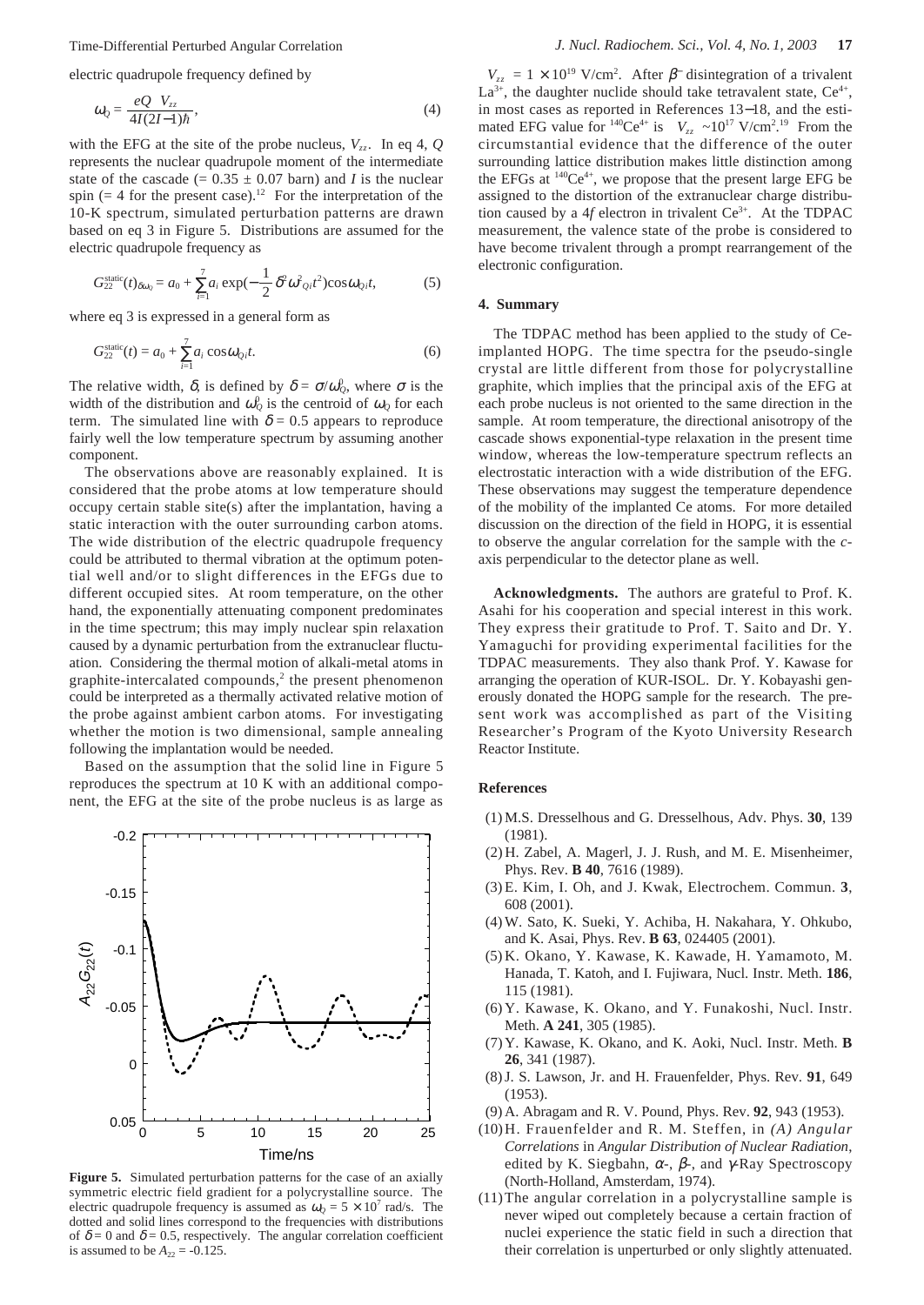electric quadrupole frequency defined by

$$
\omega_Q = \frac{eQ|V_{zz}|}{4I(2I-1)\hbar},\tag{4}
$$

with the EFG at the site of the probe nucleus,  $V_{zz}$ . In eq 4,  $Q$ represents the nuclear quadrupole moment of the intermediate state of the cascade  $(= 0.35 + 0.07$  barn) and *I* is the nuclear spin (= 4 for the present case).<sup>12</sup> For the interpretation of the 10-K spectrum, simulated perturbation patterns are drawn based on eq 3 in Figure 5. Distributions are assumed for the electric quadrupole frequency as

$$
G_{22}^{\text{static}}(t)_{\delta\omega_{Q}} = a_{0} + \sum_{i=1}^{7} a_{i} \exp(-\frac{1}{2} \delta^{2} \omega^{2}{}_{Qi}t^{2}) \cos \omega_{Qi}t,
$$
 (5)

where eq 3 is expressed in a general form as

$$
G_{22}^{\text{static}}(t) = a_0 + \sum_{i=1}^{7} a_i \cos \omega_{Qi} t. \tag{6}
$$

The relative width,  $\delta$ , is defined by  $\delta = \sigma/\omega_{Q}^{0}$ , where  $\sigma$  is the width of the distribution and  $\omega_0^0$  is the centroid of  $\omega_0$  for each term. The simulated line with  $\delta = 0.5$  appears to reproduce fairly well the low temperature spectrum by assuming another component.

The observations above are reasonably explained. It is considered that the probe atoms at low temperature should occupy certain stable site(s) after the implantation, having a static interaction with the outer surrounding carbon atoms. The wide distribution of the electric quadrupole frequency could be attributed to thermal vibration at the optimum potential well and/or to slight differences in the EFGs due to different occupied sites. At room temperature, on the other hand, the exponentially attenuating component predominates in the time spectrum; this may imply nuclear spin relaxation caused by a dynamic perturbation from the extranuclear fluctuation. Considering the thermal motion of alkali-metal atoms in graphite-intercalated compounds, $2$  the present phenomenon could be interpreted as a thermally activated relative motion of the probe against ambient carbon atoms. For investigating whether the motion is two dimensional, sample annealing following the implantation would be needed.

Based on the assumption that the solid line in Figure 5 reproduces the spectrum at 10 K with an additional component, the EFG at the site of the probe nucleus is as large as



**Figure 5.** Simulated perturbation patterns for the case of an axially symmetric electric field gradient for a polycrystalline source. The electric quadrupole frequency is assumed as  $\omega_Q = 5 \times 10^7$  rad/s. The dotted and solid lines correspond to the frequencies with distributions of  $\delta = 0$  and  $\delta = 0.5$ , respectively. The angular correlation coefficient is assumed to be  $A_{22} = -0.125$ .

 $|V_{zz}| = 1 \times 10^{19}$  V/cm<sup>2</sup>. After  $\beta$ <sup>-</sup> disintegration of a trivalent  $La^{3+}$ , the daughter nuclide should take tetravalent state,  $Ce^{4+}$ , in most cases as reported in References 13−18, and the estimated EFG value for <sup>140</sup>Ce<sup>4+</sup> is  $|V_{zz}| \sim 10^{17}$  V/cm<sup>2</sup>.<sup>19</sup> From the circumstantial evidence that the difference of the outer surrounding lattice distribution makes little distinction among the EFGs at  $140Ce^{4+}$ , we propose that the present large EFG be assigned to the distortion of the extranuclear charge distribution caused by a  $4f$  electron in trivalent  $Ce^{3+}$ . At the TDPAC measurement, the valence state of the probe is considered to have become trivalent through a prompt rearrangement of the electronic configuration.

#### **4. Summary**

The TDPAC method has been applied to the study of Ceimplanted HOPG. The time spectra for the pseudo-single crystal are little different from those for polycrystalline graphite, which implies that the principal axis of the EFG at each probe nucleus is not oriented to the same direction in the sample. At room temperature, the directional anisotropy of the cascade shows exponential-type relaxation in the present time window, whereas the low-temperature spectrum reflects an electrostatic interaction with a wide distribution of the EFG. These observations may suggest the temperature dependence of the mobility of the implanted Ce atoms. For more detailed discussion on the direction of the field in HOPG, it is essential to observe the angular correlation for the sample with the *c*axis perpendicular to the detector plane as well.

**Acknowledgments.** The authors are grateful to Prof. K. Asahi for his cooperation and special interest in this work. They express their gratitude to Prof. T. Saito and Dr. Y. Yamaguchi for providing experimental facilities for the TDPAC measurements. They also thank Prof. Y. Kawase for arranging the operation of KUR-ISOL. Dr. Y. Kobayashi generously donated the HOPG sample for the research. The present work was accomplished as part of the Visiting Researcher's Program of the Kyoto University Research Reactor Institute.

#### **References**

- (1) M.S. Dresselhous and G. Dresselhous, Adv. Phys. **30**, 139 (1981).
- (2) H. Zabel, A. Magerl, J. J. Rush, and M. E. Misenheimer, Phys. Rev. **B 40**, 7616 (1989).
- (3) E. Kim, I. Oh, and J. Kwak, Electrochem. Commun. **3**, 608 (2001).
- (4) W. Sato, K. Sueki, Y. Achiba, H. Nakahara, Y. Ohkubo, and K. Asai, Phys. Rev. **B 63**, 024405 (2001).
- (5) K. Okano, Y. Kawase, K. Kawade, H. Yamamoto, M. Hanada, T. Katoh, and I. Fujiwara, Nucl. Instr. Meth. **186**, 115 (1981).
- (6) Y. Kawase, K. Okano, and Y. Funakoshi, Nucl. Instr. Meth. **A 241**, 305 (1985).
- (7) Y. Kawase, K. Okano, and K. Aoki, Nucl. Instr. Meth. **B 26**, 341 (1987).
- (8) J. S. Lawson, Jr. and H. Frauenfelder, Phys. Rev. **91**, 649 (1953).
- (9) A. Abragam and R. V. Pound, Phys. Rev. **92**, 943 (1953).
- (10)H. Frauenfelder and R. M. Steffen, in *(A) Angular Correlations* in *Angular Distribution of Nuclear Radiation*, edited by K. Siegbahn,  $\alpha$ -,  $\beta$ -, and  $\gamma$ -Ray Spectroscopy (North-Holland, Amsterdam, 1974).
- (11)The angular correlation in a polycrystalline sample is never wiped out completely because a certain fraction of nuclei experience the static field in such a direction that their correlation is unperturbed or only slightly attenuated.